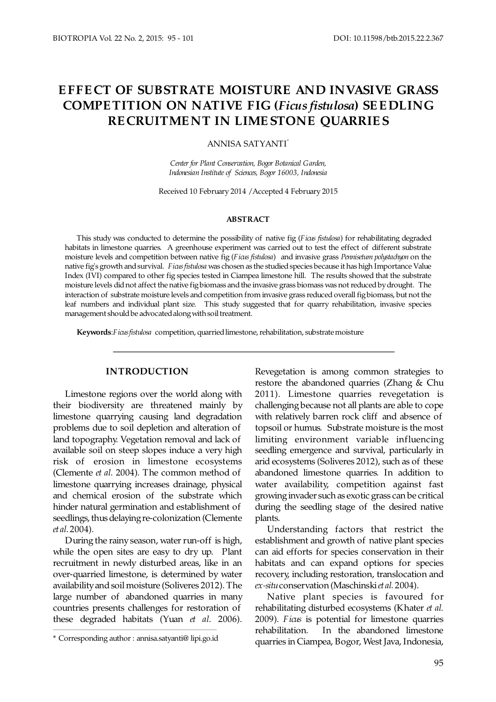# **E FFE CT OF SUBSTRATE MOISTURE AND INVASIVE GRASS COMPETITION ON NATIVE FIG (Ficus fistulosa) SEEDLING RE CRUITME NT IN LIME STONE QUARRIE S**

ANNISA SATYANTI\*

*Center for Plant Conservation, Bogor Botanical Garden, Indonesian Institute of Sciences, Bogor 16003, Indonesia*

Received 10 February 2014 /Accepted 4 February 2015

#### **ABSTRACT**

This study was conducted to determine the possibility of native fig (Ficus fistulosa) for rehabilitating degraded habitats in limestone quarries. A greenhouse experiment was carried out to test the effect of different substrate moisture levels and competition between native fig (*Ficus fistulosa*) and invasive grass *Pennisetum polystachyon* on the native fig's growth and survival. Fians fistulosa was chosen as the studied species because it has high Importance Value Index (IVI) compared to other fig species tested in Ciampea limestone hill. The results showed that the substrate moisture levels did not affect the native fig biomass and the invasive grass biomass was not reduced by drought. The interaction of substrate moisture levels and competition from invasive grass reduced overall fig biomass, but not the leaf numbers and individual plant size. This study suggested that for quarry rehabilitation, invasive species management should be advocated along with soil treatment.

Keywords:*Ficus fistulosa* competition, quarried limestone, rehabilitation, substrate moisture

### **INTRODUCTION**

Limestone regions over the world along with their biodiversity are threatened mainly by limestone quarrying causing land degradation problems due to soil depletion and alteration of land topography. Vegetation removal and lack of available soil on steep slopes induce a very high risk of erosion in limestone ecosystems (Clemente *et al.* 2004). The common method of limestone quarrying increases drainage, physical and chemical erosion of the substrate which hinder natural germination and establishment of seedlings, thus delaying re-colonization (Clemente *et al*. 2004).

During the rainy season, water run-off is high, while the open sites are easy to dry up. Plant recruitment in newly disturbed areas, like in an over-quarried limestone, is determined by water availability and soil moisture (Soliveres 2012). The large number of abandoned quarries in many countries presents challenges for restoration of these degraded habitats (Yuan et al. 2006).

Revegetation is among common strategies to restore the abandoned quarries (Zhang  $&$  Chu 2011). Limestone quarries revegetation is challenging because not all plants are able to cope with relatively barren rock cliff and absence of topsoil or humus. Substrate moisture is the most limiting environment variable influencing seedling emergence and survival, particularly in arid ecosystems (Soliveres 2012), such as of these abandoned limestone quarries. In addition to water availability, competition against fast growing invader such as exotic grass can be critical during the seedling stage of the desired native plants.

Understanding factors that restrict the establishment and growth of native plant species can aid efforts for species conservation in their habitats and can expand options for species recovery, including restoration, translocation and *ex-situ* conservation (Maschinski *et al.* 2004).

Native plant species is favoured for rehabilitating disturbed ecosystems (Khater *et al.* 2009). Fiass is potential for limestone quarries rehabilitation. In the abandoned limestone quarries in Ciampea, Bogor, West Java, Indonesia, \* Corresponding author : [annisa.satyanti@ lipi.go.id](mailto:annisa.satyanti@lipi.go.id)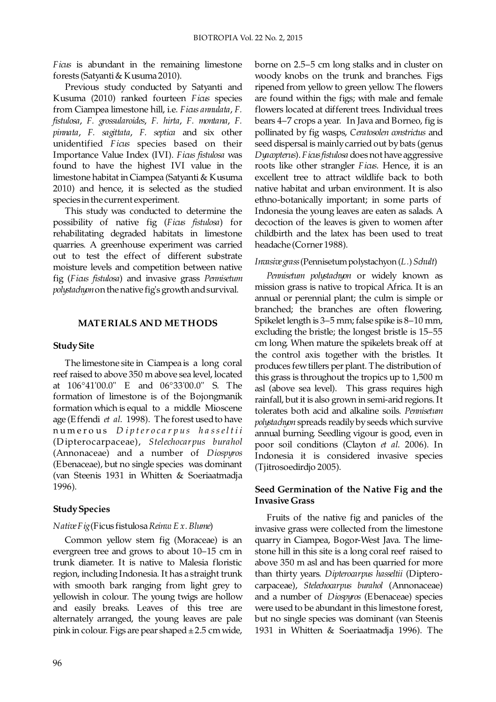*Ficus* is abundant in the remaining limestone forests (Satyanti & Kusuma 2010).

Previous study conducted by Satyanti and Kusuma (2010) ranked fourteen Ficus species from Ciampea limestone hill, *i.e. Ficus annulata*, *F.* fistulosa, F. grossularoides, F. hirta, F. montana, F. pinnata, F. sagittata, F. septica and six other unidentified Ficus species based on their Importance Value Index (IVI). Ficus fistulosa was found to have the highest IVI value in the limestone habitat in Ciampea (Satyanti & Kusuma 2010) and hence, it is selected as the studied species in the current experiment.

This study was conducted to determine the possibility of native fig (Ficus fistulosa) for rehabilitating degraded habitats in limestone quarries. A greenhouse experiment was carried out to test the effect of different substrate moisture levels and competition between native fig (Ficus fistulosa) and invasive grass *Pennisetum polystachyon* on the native fig's growth and survival.

# **MATE RIALS AND ME THODS**

### **Study Site**

 The limestone site in Ciampea is a long coral reef raised to above 350 m above sea level, located at 106°41'00.0" E and 06°33'00.0" S. The formation of limestone is of the Bojongmanik formation which is equal to a middle Mioscene age (Effendi et al. 1998). The forest used to have n u m e r o u s *D i p t e r o c a r p u s h a s s e l t i i* (D ipterocarpaceae), *Stelechocarpus burahol* (Annonaceae) and a number of *Diospyros* (Ebenaceae), but no single species was dominant (van Steenis 1931 in Whitten & Soeriaatmadja 1996).

## **Study Species**

#### *Native Fig* (Ficus fistulosa Reinw. E x. Blume)

 Common yellow stem fig (Moraceae) is an evergreen tree and grows to about 10–15 cm in trunk diameter. It is native to Malesia floristic region, including Indonesia. It has a straight trunk with smooth bark ranging from light grey to yellowish in colour. The young twigs are hollow and easily breaks. Leaves of this tree are alternately arranged, the young leaves are pale pink in colour. Figs are pear shaped  $\pm 2.5$  cm wide,

borne on 2.5–5 cm long stalks and in cluster on woody knobs on the trunk and branches. Figs ripened from yellow to green yellow. The flowers are found within the figs; with male and female flowers located at different trees. Individual trees bears 4–7 crops a year. In Java and Borneo, fig is pollinated by fig wasps, Ceratosolen constrictus and seed dispersal is mainly carried out by bats (genus *Dyacopterus*). Ficus fistulosa does not have aggressive roots like other strangler *Ficus*. Hence, it is an excellent tree to attract wildlife back to both native habitat and urban environment. It is also ethno-botanically important; in some parts of Indonesia the young leaves are eaten as salads. A decoction of the leaves is given to women after childbirth and the latex has been used to treat headache (Corner 1988).

## *Invasive grass (Pennisetum polystachyon (L.) Schult)*

*Pennisetum polystachyon* or widely known as mission grass is native to tropical Africa. It is an annual or perennial plant; the culm is simple or branched; the branches are often flowering. Spikelet length is 3–5 mm; false spike is 8–10 mm, excluding the bristle; the longest bristle is 15–55 cm long. When mature the spikelets break off at the control axis together with the bristles. It produces few tillers per plant. The distribution of this grass is throughout the tropics up to 1,500 m asl (above sea level). This grass requires high rainfall, but it is also grown in semi-arid regions. It tolerates both acid and alkaline soils. *Pennisetum polystachyon* spreads readily by seeds which survive annual burning. Seedling vigour is good, even in poor soil conditions (Clayton et al. 2006). In Indonesia it is considered invasive species (Tjitrosoedirdjo 2005).

## **Seed Germination of the Native Fig and the Invasive Grass**

Fruits of the native fig and panicles of the invasive grass were collected from the limestone quarry in Ciampea, Bogor-West Java. The limestone hill in this site is a long coral reef raised to above 350 m asl and has been quarried for more than thirty years. Dipteroarpus hasseltii (Dipterocarpaceae), Stelechocarpus burahol (Annonaceae) and a number of *Diospyros* (Ebenaceae) species were used to be abundant in this limestone forest, but no single species was dominant (van Steenis 1931 in Whitten & Soeriaatmadja 1996). The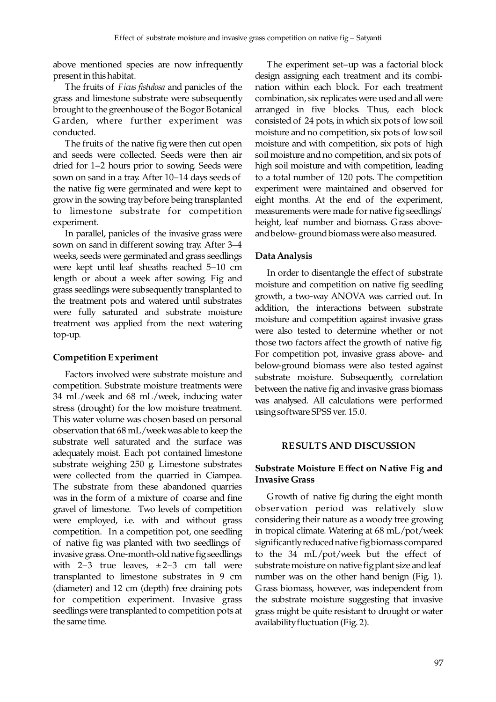above mentioned species are now infrequently present in this habitat.

The fruits of Ficus fistulosa and panicles of the grass and limestone substrate were subsequently brought to the greenhouse of the Bogor Botanical G arden, where further experiment was conducted.

The fruits of the native fig were then cut open and seeds were collected. Seeds were then air dried for 1–2 hours prior to sowing. Seeds were sown on sand in a tray. After 10–14 days seeds of the native fig were germinated and were kept to grow in the sowing tray before being transplanted to limestone substrate for competition experiment.

 In parallel, panicles of the invasive grass were sown on sand in different sowing tray. After 3–4 weeks, seeds were germinated and grass seedlings were kept until leaf sheaths reached 5–10 cm length or about a week after sowing. Fig and grass seedlings were subsequently transplanted to the treatment pots and watered until substrates were fully saturated and substrate moisture treatment was applied from the next watering top-up.

#### **Competition E xperiment**

Factors involved were substrate moisture and competition. Substrate moisture treatments were 34 mL/week and 68 mL/week, inducing water stress (drought) for the low moisture treatment. This water volume was chosen based on personal observation that 68 mL/week was able to keep the substrate well saturated and the surface was adequately moist. Each pot contained limestone substrate weighing 250 g. Limestone substrates were collected from the quarried in Ciampea. The substrate from these abandoned quarries was in the form of a mixture of coarse and fine gravel of limestone. Two levels of competition were employed, i.e. with and without grass competition. In a competition pot, one seedling of native fig was planted with two seedlings of invasive grass. One-month-old native fig seedlings with 2–3 true leaves,  $\pm 2$ –3 cm tall were transplanted to limestone substrates in 9 cm (diameter) and 12 cm (depth) free draining pots for competition experiment. Invasive grass seedlings were transplanted to competition pots at the same time.

 The experiment set–up was a factorial block design assigning each treatment and its combination within each block. For each treatment combination, six replicates were used and all were arranged in five blocks. Thus, each block consisted of 24 pots, in which six pots of low soil moisture and no competition, six pots of low soil moisture and with competition, six pots of high soil moisture and no competition, and six pots of high soil moisture and with competition, leading to a total number of 120 pots. The competition experiment were maintained and observed for eight months. At the end of the experiment, measurements were made for native fig seedlings' height, leaf number and biomass. Grass aboveand below- ground biomass were also measured.

## **Data Analysis**

In order to disentangle the effect of substrate moisture and competition on native fig seedling growth, a two-way ANOVA was carried out. In addition, the interactions between substrate moisture and competition against invasive grass were also tested to determine whether or not those two factors affect the growth of native fig. For competition pot, invasive grass above- and below-ground biomass were also tested against substrate moisture. Subsequently, correlation between the native fig and invasive grass biomass was analysed. All calculations were performed using software SPSS ver. 15.0.

## **RE SULTS AND DISCUSSION**

## **Substrate Moisture E ffect on Native Fig and Invasive Grass**

 Growth of native fig during the eight month observation period was relatively slow considering their nature as a woody tree growing in tropical climate. Watering at 68 mL/pot/week significantly reduced native fig biomass compared to the 34 mL/pot/week but the effect of substrate moisture on native fig plant size and leaf number was on the other hand benign (Fig. 1). Grass biomass, however, was independent from the substrate moisture suggesting that invasive grass might be quite resistant to drought or water availability fluctuation (Fig. 2).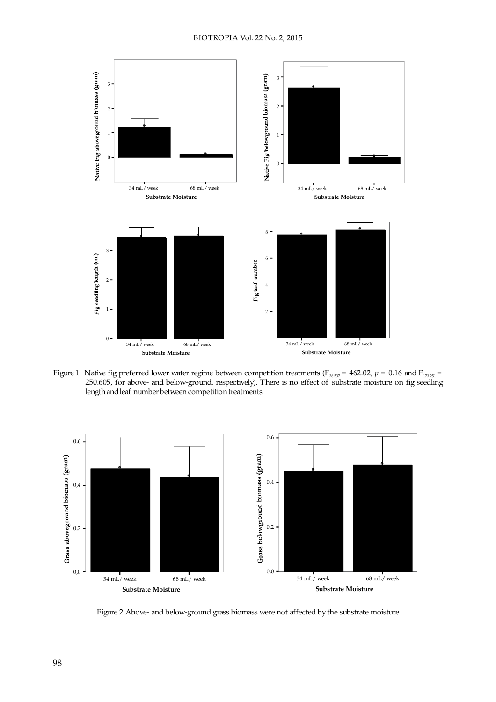

Figure 1 Native fig preferred lower water regime between competition treatments (F<sub>38537</sub> = 462.02,  $p = 0.16$  and F<sub>173.251</sub> = 250.605, for above- and below-ground, respectively). There is no effect of substrate moisture on fig seedling length and leaf number between competition treatments



Figure 2 Above- and below-ground grass biomass were not affected by the substrate moisture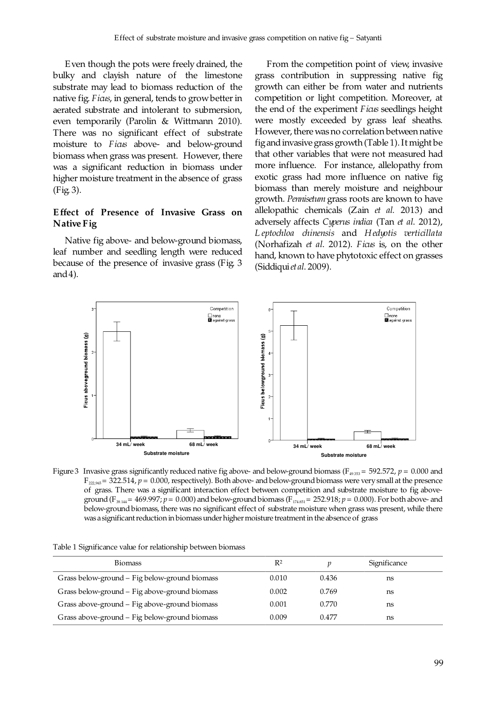Even though the pots were freely drained, the bulky and clayish nature of the limestone substrate may lead to biomass reduction of the native fig. *Ficus*, in general, tends to grow better in aerated substrate and intolerant to submersion, even temporarily (Parolin & Wittmann 2010). There was no significant effect of substrate moisture to Ficus above- and below-ground biomass when grass was present. However, there was a significant reduction in biomass under higher moisture treatment in the absence of grass (Fig. 3).

## **E ffect of Presence of Invasive Grass on Native Fig**

Native fig above- and below-ground biomass, leaf number and seedling length were reduced because of the presence of invasive grass (Fig. 3 and  $4$ ).

 From the competition point of view, invasive grass contribution in suppressing native fig growth can either be from water and nutrients competition or light competition. Moreover, at the end of the experiment *Ficus* seedlings height were mostly exceeded by grass leaf sheaths. However, there was no correlation between native fig and invasive grass growth (Table 1). It might be that other variables that were not measured had more influence. For instance, allelopathy from exotic grass had more influence on native fig biomass than merely moisture and neighbour growth. Pennisetum grass roots are known to have allelopathic chemicals (Zain et al. 2013) and adversely affects Cyperus indica (Tan et al. 2012), L eptochloa chinensis and H edyotis verticillata (Norhafizah et al. 2012). *Ficus* is, on the other hand, known to have phytotoxic effect on grasses (Siddiqui et al. 2009).



Figure 3 Invasive grass significantly reduced native fig above- and below-ground biomass ( $F_{49,33}$  = 592.572,  $p = 0.000$  and  $F_{22.965}$  = 322.514,  $p = 0.000$ , respectively). Both above- and below-ground biomass were very small at the presence of grass. There was a significant interaction effect between competition and substrate moisture to fig aboveground (F<sub>39,14</sub> = 469.997;  $p = 0.000$ ) and below-ground biomass (F<sub>174851</sub> = 252.918;  $p = 0.000$ ). For both above- and below-ground biomass, there was no significant effect of substrate moisture when grass was present, while there was a significant reduction in biomass under higher moisture treatment in the absence of grass

| $\cdot$                                       |                |       |              |
|-----------------------------------------------|----------------|-------|--------------|
| <b>Biomass</b>                                | R <sup>2</sup> |       | Significance |
| Grass below-ground - Fig below-ground biomass | 0.010          | 0.436 | ns           |
| Grass below-ground - Fig above-ground biomass | 0.002          | 0.769 | ns           |
| Grass above-ground - Fig above-ground biomass | 0.001          | 0.770 | ns           |
| Grass above-ground - Fig below-ground biomass | 0.009          | 0.477 | ns           |

Table 1 Significance value for relationship between biomass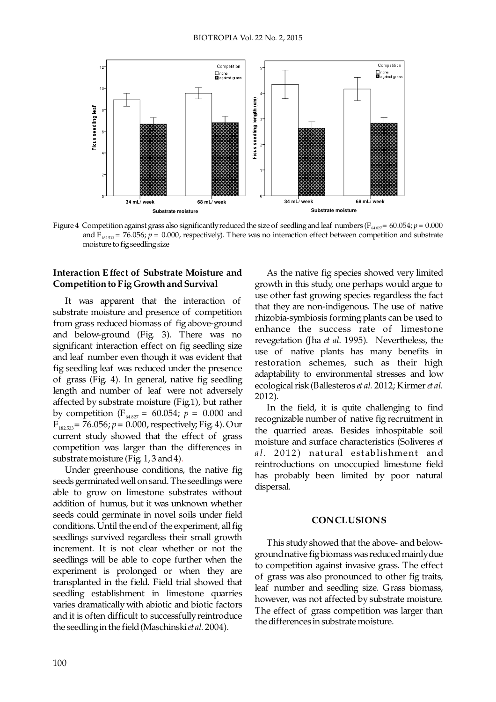

Figure 4 Competition against grass also significantly reduced the size of seedling and leaf numbers ( $F_{64,827} = 60.054$ ;  $p = 0.000$ and  $F_{182,533}$  = 76.056;  $p = 0.000$ , respectively). There was no interaction effect between competition and substrate moisture to fig seedling size

## **Interaction E ffect of Substrate Moisture and Competition to Fig Growth and Survival**

It was apparent that the interaction of substrate moisture and presence of competition from grass reduced biomass of fig above-ground and below-ground (Fig. 3). There was no significant interaction effect on fig seedling size and leaf number even though it was evident that fig seedling leaf was reduced under the presence of grass (Fig. 4). In general, native fig seedling length and number of leaf were not adversely affected by substrate moisture (Fig.1), but rather by competition ( $F_{64,827} = 60.054$ ;  $p = 0.000$  and  $F_{182,533}$  = 76.056;  $p = 0.000$ , respectively; Fig. 4). Our current study showed that the effect of grass competition was larger than the differences in substrate moisture (Fig. 1, 3 and 4).

Under greenhouse conditions, the native fig seeds germinated well on sand. The seedlings were able to grow on limestone substrates without addition of humus, but it was unknown whether seeds could germinate in novel soils under field conditions. Until the end of the experiment, all fig seedlings survived regardless their small growth increment. It is not clear whether or not the seedlings will be able to cope further when the experiment is prolonged or when they are transplanted in the field. Field trial showed that seedling establishment in limestone quarries varies dramatically with abiotic and biotic factors and it is often difficult to successfully reintroduce the seedling in the field (Maschinski et al. 2004).

 As the native fig species showed very limited growth in this study, one perhaps would argue to use other fast growing species regardless the fact that they are non-indigenous. The use of native rhizobia-symbiosis forming plants can be used to enhance the success rate of limestone revegetation (Jha et al. 1995). Nevertheless, the use of native plants has many benefits in restoration schemes, such as their high adaptability to environmental stresses and low ecological risk (Ballesteros *et al.* 2012; Kirmer *et al.* 2012).

 In the field, it is quite challenging to find recognizable number of native fig recruitment in the quarried areas. Besides inhospitable soil moisture and surface characteristics (Soliveres *et*  al. 2012) natural establishment and reintroductions on unoccupied limestone field has probably been limited by poor natural dispersal.

#### **CONCLUSIONS**

 This study showed that the above- and belowground native fig biomass was reduced mainly due to competition against invasive grass. The effect of grass was also pronounced to other fig traits, leaf number and seedling size. Grass biomass, however, was not affected by substrate moisture. The effect of grass competition was larger than the differences in substrate moisture.